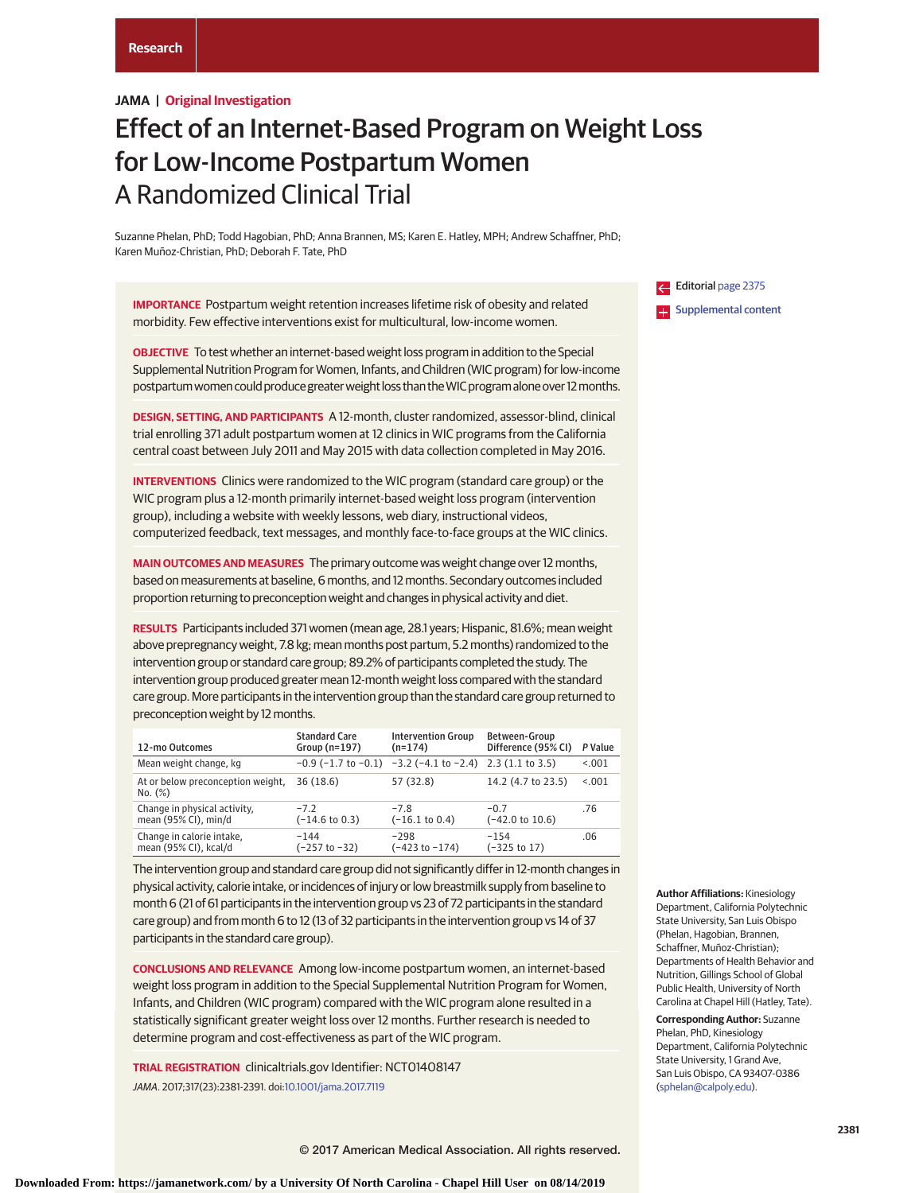# **JAMA | Original Investigation**

# Effect of an Internet-Based Program on Weight Loss for Low-Income Postpartum Women A Randomized Clinical Trial

Suzanne Phelan, PhD; Todd Hagobian, PhD; Anna Brannen, MS; Karen E. Hatley, MPH; Andrew Schaffner, PhD; Karen Muñoz-Christian, PhD; Deborah F. Tate, PhD

**IMPORTANCE** Postpartum weight retention increases lifetime risk of obesity and related morbidity. Few effective interventions exist for multicultural, low-income women.

**OBJECTIVE** To test whether an internet-based weight loss program in addition to the Special Supplemental Nutrition Program for Women, Infants, and Children (WIC program) for low-income postpartum women could produce greater weight loss than the WIC program alone over 12 months.

**DESIGN, SETTING, AND PARTICIPANTS** A 12-month, cluster randomized, assessor-blind, clinical trial enrolling 371 adult postpartum women at 12 clinics in WIC programs from the California central coast between July 2011 and May 2015 with data collection completed in May 2016.

**INTERVENTIONS** Clinics were randomized to the WIC program (standard care group) or the WIC program plus a 12-month primarily internet-based weight loss program (intervention group), including a website with weekly lessons, web diary, instructional videos, computerized feedback, text messages, and monthly face-to-face groups at the WIC clinics.

**MAIN OUTCOMES AND MEASURES** The primary outcome was weight change over 12 months, based on measurements at baseline, 6 months, and 12 months. Secondary outcomes included proportion returning to preconception weight and changes in physical activity and diet.

**RESULTS** Participants included 371 women (mean age, 28.1 years; Hispanic, 81.6%; mean weight above prepregnancy weight, 7.8 kg; mean months post partum, 5.2 months) randomized to the intervention group or standard care group; 89.2% of participants completed the study. The intervention group produced greater mean 12-month weight loss compared with the standard care group. More participants in the intervention group than the standard care group returned to preconception weight by 12 months.

| 12-mo Outcomes                                       | <b>Standard Care</b><br>Group ( $n=197$ ) | <b>Intervention Group</b><br>$(n=174)$                                   | Between-Group<br>Difference (95% CI) | P Value |
|------------------------------------------------------|-------------------------------------------|--------------------------------------------------------------------------|--------------------------------------|---------|
| Mean weight change, kg                               |                                           | $-0.9$ ( $-1.7$ to $-0.1$ ) $-3.2$ ( $-4.1$ to $-2.4$ ) 2.3 (1.1 to 3.5) |                                      | < 0.001 |
| At or below preconception weight,<br>No. (%)         | 36(18.6)                                  | 57 (32.8)                                                                | 14.2 (4.7 to 23.5)                   | < 0.001 |
| Change in physical activity,<br>mean (95% CI), min/d | $-72$<br>(–14.6 to 0.3)                   | $-7.8$<br>$(-16.1 \text{ to } 0.4)$                                      | $-0.7$<br>$(-42.0 \text{ to } 10.6)$ | .76     |
| Change in calorie intake,<br>mean (95% CI), kcal/d   | $-144$<br>(−257 to −32)                   | $-298$<br>(−423 to −174)                                                 | $-154$<br>$(-325 \text{ to } 17)$    | .06     |

The intervention group and standard care group did not significantly differ in 12-month changes in physical activity, calorie intake, or incidences of injury or low breastmilk supply from baseline to month 6 (21 of 61 participants in the intervention group vs 23 of 72 participants in the standard care group) and from month 6 to 12 (13 of 32 participants in the intervention group vs 14 of 37 participants in the standard care group).

**CONCLUSIONS AND RELEVANCE** Among low-income postpartum women, an internet-based weight loss program in addition to the Special Supplemental Nutrition Program for Women, Infants, and Children (WIC program) compared with the WIC program alone resulted in a statistically significant greater weight loss over 12 months. Further research is needed to determine program and cost-effectiveness as part of the WIC program.

**TRIAL REGISTRATION** clinicaltrials.gov Identifier: NCT01408147 JAMA. 2017;317(23):2381-2391. doi[:10.1001/jama.2017.7119](http://jama.jamanetwork.com/article.aspx?doi=10.1001/jama.2017.7119&utm_campaign=articlePDF%26utm_medium=articlePDFlink%26utm_source=articlePDF%26utm_content=jama.2017.7119)

Editorial [page 2375](http://jama.jamanetwork.com/article.aspx?doi=10.1001/jama.2017.7036&utm_campaign=articlePDF%26utm_medium=articlePDFlink%26utm_source=articlePDF%26utm_content=jama.2017.7119) **Examplemental content** 

**Author Affiliations:** Kinesiology Department, California Polytechnic State University, San Luis Obispo (Phelan, Hagobian, Brannen, Schaffner, Muñoz-Christian); Departments of Health Behavior and Nutrition, Gillings School of Global Public Health, University of North Carolina at Chapel Hill (Hatley, Tate).

**Corresponding Author:** Suzanne Phelan, PhD, Kinesiology Department, California Polytechnic State University, 1 Grand Ave, San Luis Obispo, CA 93407-0386 [\(sphelan@calpoly.edu\)](mailto:sphelan@calpoly.edu).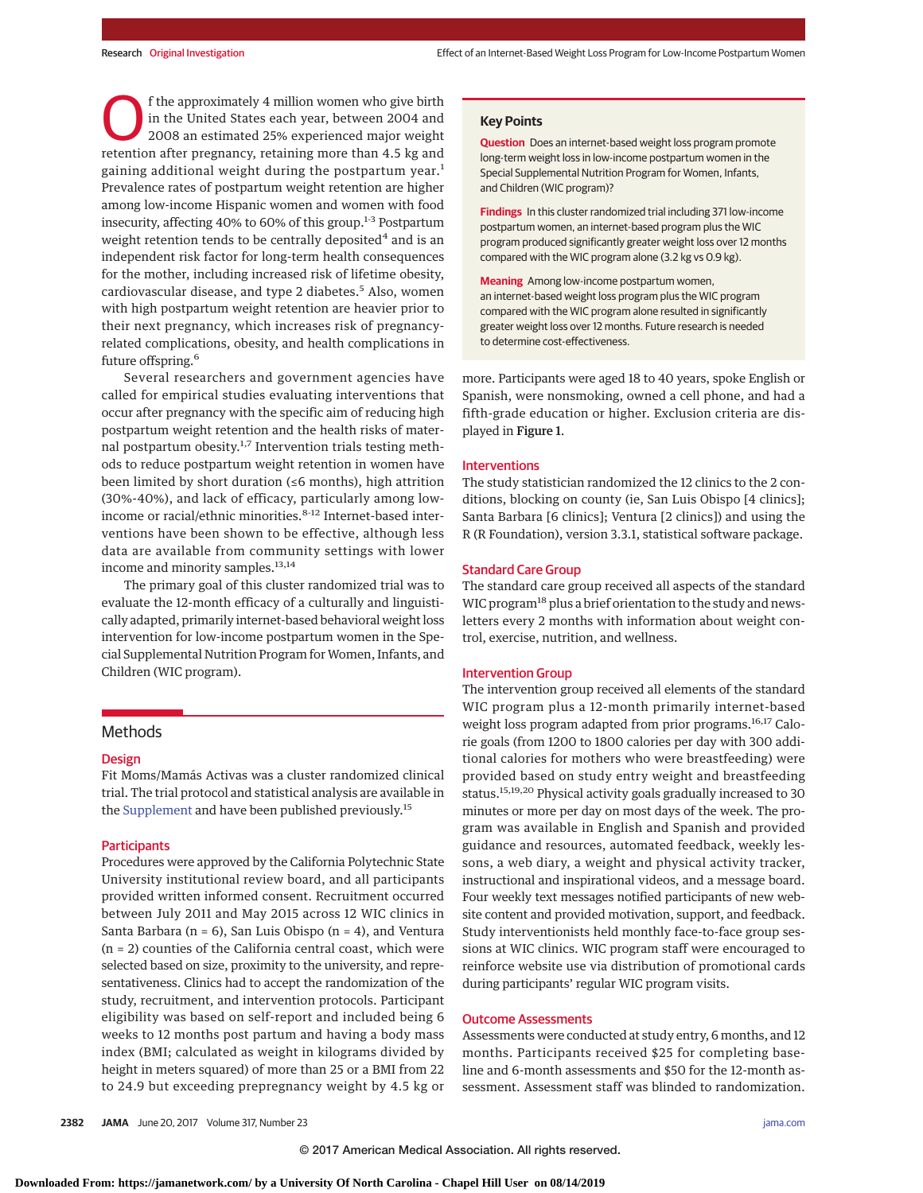f the approximately 4 million women who give birth in the United States each year, between 2004 and 2008 an estimated 25% experienced major weight retention after pregnancy, retaining more than 4.5 kg and gaining additional weight during the postpartum year.<sup>1</sup> Prevalence rates of postpartum weight retention are higher among low-income Hispanic women and women with food insecurity, affecting 40% to 60% of this group.<sup>1-3</sup> Postpartum weight retention tends to be centrally deposited<sup>4</sup> and is an independent risk factor for long-term health consequences for the mother, including increased risk of lifetime obesity, cardiovascular disease, and type 2 diabetes.<sup>5</sup> Also, women with high postpartum weight retention are heavier prior to their next pregnancy, which increases risk of pregnancyrelated complications, obesity, and health complications in future offspring.<sup>6</sup>

Several researchers and government agencies have called for empirical studies evaluating interventions that occur after pregnancy with the specific aim of reducing high postpartum weight retention and the health risks of maternal postpartum obesity.<sup>1,7</sup> Intervention trials testing methods to reduce postpartum weight retention in women have been limited by short duration (≤6 months), high attrition (30%-40%), and lack of efficacy, particularly among lowincome or racial/ethnic minorities.<sup>8-12</sup> Internet-based interventions have been shown to be effective, although less data are available from community settings with lower income and minority samples.<sup>13,14</sup>

The primary goal of this cluster randomized trial was to evaluate the 12-month efficacy of a culturally and linguistically adapted, primarily internet-based behavioral weight loss intervention for low-income postpartum women in the Special Supplemental Nutrition Program for Women, Infants, and Children (WIC program).

# **Methods**

#### Design

Fit Moms/Mamás Activas was a cluster randomized clinical trial. The trial protocol and statistical analysis are available in the [Supplement](http://jama.jamanetwork.com/article.aspx?doi=10.1001/jama.2017.7119&utm_campaign=articlePDF%26utm_medium=articlePDFlink%26utm_source=articlePDF%26utm_content=jama.2017.7119) and have been published previously.<sup>15</sup>

## **Participants**

Procedures were approved by the California Polytechnic State University institutional review board, and all participants provided written informed consent. Recruitment occurred between July 2011 and May 2015 across 12 WIC clinics in Santa Barbara ( $n = 6$ ), San Luis Obispo ( $n = 4$ ), and Ventura (n = 2) counties of the California central coast, which were selected based on size, proximity to the university, and representativeness. Clinics had to accept the randomization of the study, recruitment, and intervention protocols. Participant eligibility was based on self-report and included being 6 weeks to 12 months post partum and having a body mass index (BMI; calculated as weight in kilograms divided by height in meters squared) of more than 25 or a BMI from 22 to 24.9 but exceeding prepregnancy weight by 4.5 kg or **Question** Does an internet-based weight loss program promote long-term weight loss in low-income postpartum women in the Special Supplemental Nutrition Program for Women, Infants, and Children (WIC program)?

**Findings** In this cluster randomized trial including 371 low-income postpartum women, an internet-based program plus the WIC program produced significantly greater weight loss over 12 months compared with the WIC program alone (3.2 kg vs 0.9 kg).

**Meaning** Among low-income postpartum women, an internet-based weight loss program plus the WIC program compared with the WIC program alone resulted in significantly greater weight loss over 12 months. Future research is needed to determine cost-effectiveness.

more. Participants were aged 18 to 40 years, spoke English or Spanish, were nonsmoking, owned a cell phone, and had a fifth-grade education or higher. Exclusion criteria are displayed in Figure 1.

## Interventions

The study statistician randomized the 12 clinics to the 2 conditions, blocking on county (ie, San Luis Obispo [4 clinics]; Santa Barbara [6 clinics]; Ventura [2 clinics]) and using the R (R Foundation), version 3.3.1, statistical software package.

# Standard Care Group

The standard care group received all aspects of the standard WIC program<sup>18</sup> plus a brief orientation to the study and newsletters every 2 months with information about weight control, exercise, nutrition, and wellness.

### Intervention Group

The intervention group received all elements of the standard WIC program plus a 12-month primarily internet-based weight loss program adapted from prior programs.<sup>16,17</sup> Calorie goals (from 1200 to 1800 calories per day with 300 additional calories for mothers who were breastfeeding) were provided based on study entry weight and breastfeeding status.15,19,20 Physical activity goals gradually increased to 30 minutes or more per day on most days of the week. The program was available in English and Spanish and provided guidance and resources, automated feedback, weekly lessons, a web diary, a weight and physical activity tracker, instructional and inspirational videos, and a message board. Four weekly text messages notified participants of new website content and provided motivation, support, and feedback. Study interventionists held monthly face-to-face group sessions at WIC clinics. WIC program staff were encouraged to reinforce website use via distribution of promotional cards during participants' regular WIC program visits.

## Outcome Assessments

Assessments were conducted at study entry, 6 months, and 12 months. Participants received \$25 for completing baseline and 6-month assessments and \$50 for the 12-month assessment. Assessment staff was blinded to randomization.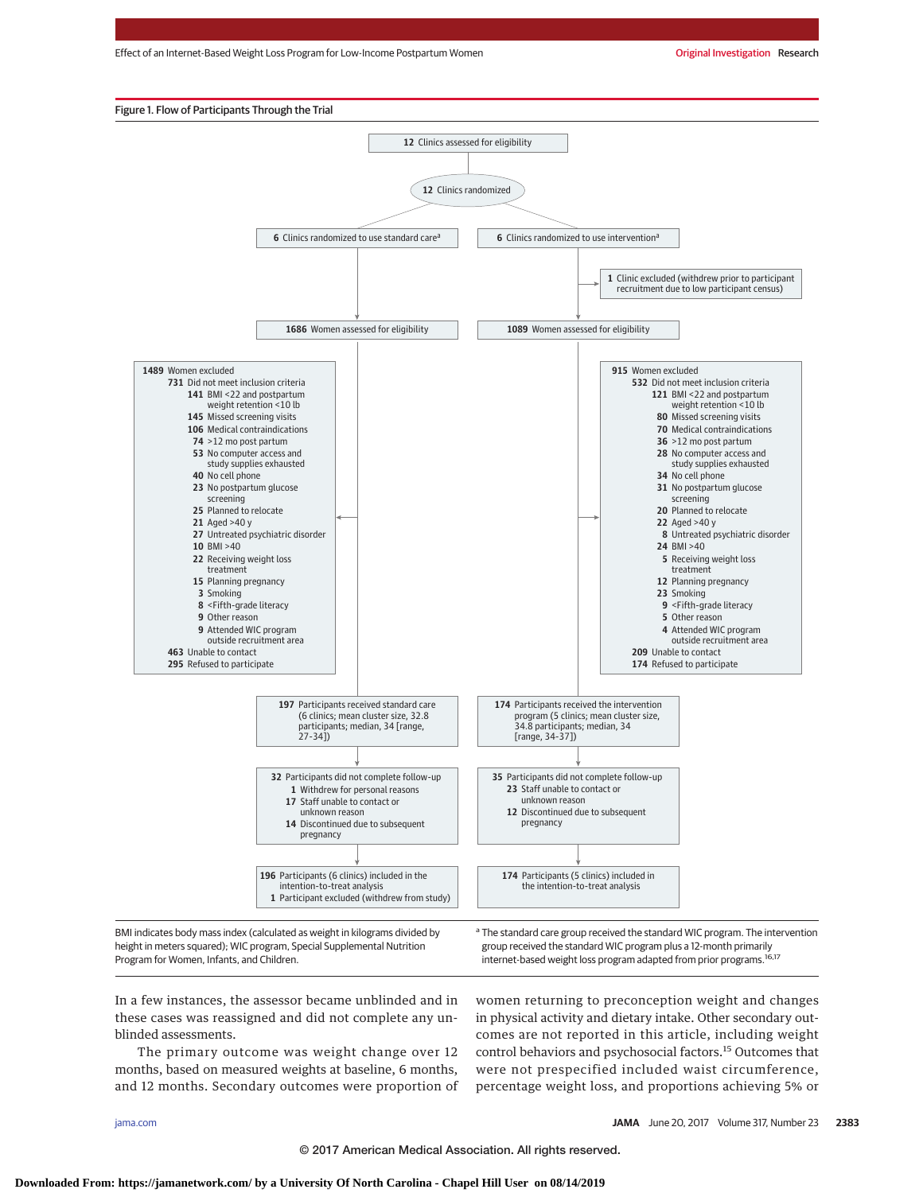Effect of an Internet-Based Weight Loss Program for Low-Income Postpartum Women **Original Investigation Research** 



Program for Women, Infants, and Children.

group received the standard WIC program plus a 12-month primarily internet-based weight loss program adapted from prior programs.<sup>16,17</sup>

In a few instances, the assessor became unblinded and in these cases was reassigned and did not complete any unblinded assessments.

The primary outcome was weight change over 12 months, based on measured weights at baseline, 6 months, and 12 months. Secondary outcomes were proportion of women returning to preconception weight and changes in physical activity and dietary intake. Other secondary outcomes are not reported in this article, including weight control behaviors and psychosocial factors.15 Outcomes that were not prespecified included waist circumference, percentage weight loss, and proportions achieving 5% or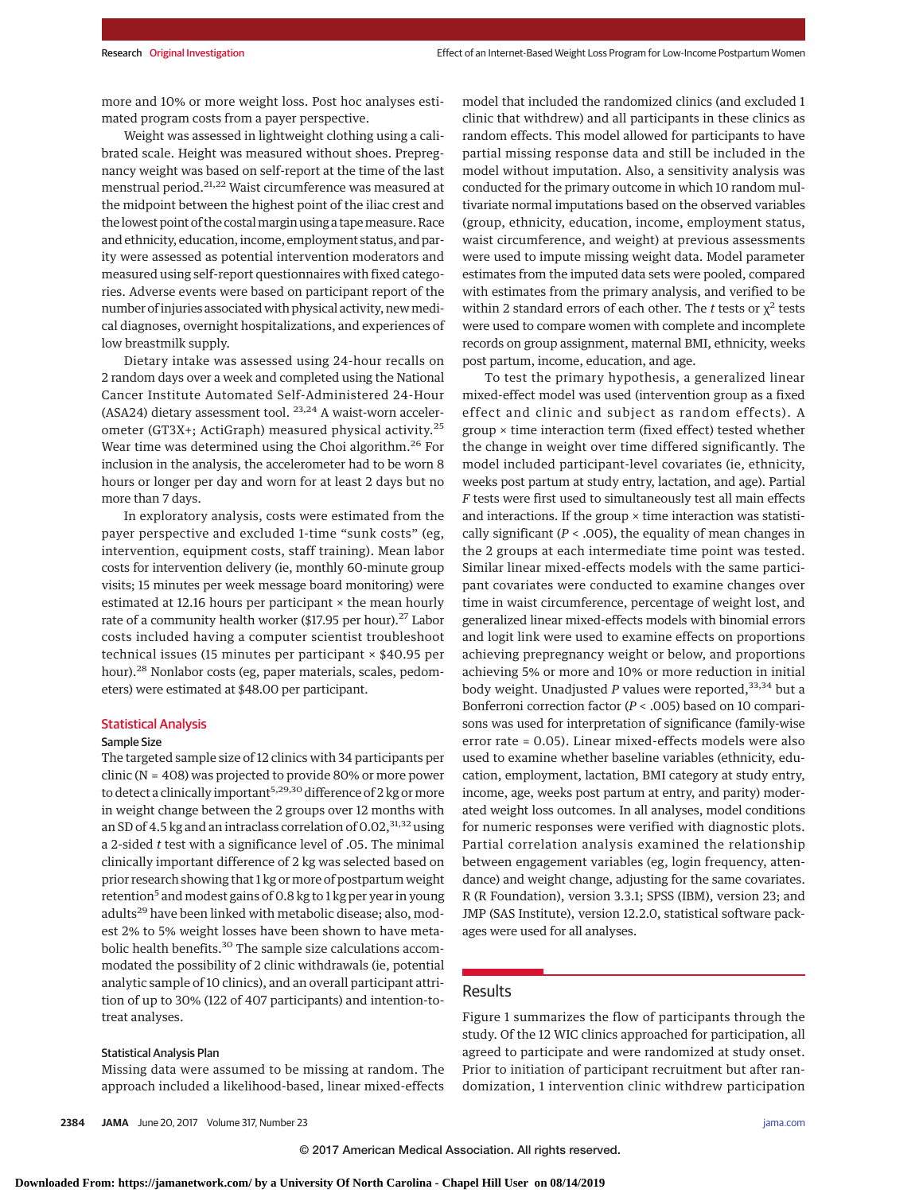more and 10% or more weight loss. Post hoc analyses estimated program costs from a payer perspective.

Weight was assessed in lightweight clothing using a calibrated scale. Height was measured without shoes. Prepregnancy weight was based on self-report at the time of the last menstrual period.<sup>21,22</sup> Waist circumference was measured at the midpoint between the highest point of the iliac crest and the lowest point of the costalmargin using a tapemeasure. Race and ethnicity, education, income, employment status, and parity were assessed as potential intervention moderators and measured using self-report questionnaires with fixed categories. Adverse events were based on participant report of the number of injuries associated with physical activity, newmedical diagnoses, overnight hospitalizations, and experiences of low breastmilk supply.

Dietary intake was assessed using 24-hour recalls on 2 random days over a week and completed using the National Cancer Institute Automated Self-Administered 24-Hour (ASA24) dietary assessment tool. <sup>23,24</sup> A waist-worn accelerometer (GT3X+; ActiGraph) measured physical activity.<sup>25</sup> Wear time was determined using the Choi algorithm.<sup>26</sup> For inclusion in the analysis, the accelerometer had to be worn 8 hours or longer per day and worn for at least 2 days but no more than 7 days.

In exploratory analysis, costs were estimated from the payer perspective and excluded 1-time "sunk costs" (eg, intervention, equipment costs, staff training). Mean labor costs for intervention delivery (ie, monthly 60-minute group visits; 15 minutes per week message board monitoring) were estimated at 12.16 hours per participant  $\times$  the mean hourly rate of a community health worker (\$17.95 per hour).<sup>27</sup> Labor costs included having a computer scientist troubleshoot technical issues (15 minutes per participant × \$40.95 per hour).<sup>28</sup> Nonlabor costs (eg, paper materials, scales, pedometers) were estimated at \$48.00 per participant.

## Statistical Analysis

# Sample Size

The targeted sample size of 12 clinics with 34 participants per clinic (N = 408) was projected to provide 80% or more power to detect a clinically important<sup>5,29,30</sup> difference of 2 kg or more in weight change between the 2 groups over 12 months with an SD of 4.5 kg and an intraclass correlation of  $0.02$ ,  $31,32$  using a 2-sided *t* test with a significance level of .05. The minimal clinically important difference of 2 kg was selected based on prior research showing that 1 kg or more of postpartum weight retention<sup>5</sup> and modest gains of 0.8 kg to 1 kg per year in young adults<sup>29</sup> have been linked with metabolic disease; also, modest 2% to 5% weight losses have been shown to have metabolic health benefits.<sup>30</sup> The sample size calculations accommodated the possibility of 2 clinic withdrawals (ie, potential analytic sample of 10 clinics), and an overall participant attrition of up to 30% (122 of 407 participants) and intention-totreat analyses.

# Statistical Analysis Plan

Missing data were assumed to be missing at random. The approach included a likelihood-based, linear mixed-effects model that included the randomized clinics (and excluded 1 clinic that withdrew) and all participants in these clinics as random effects. This model allowed for participants to have partial missing response data and still be included in the model without imputation. Also, a sensitivity analysis was conducted for the primary outcome in which 10 random multivariate normal imputations based on the observed variables (group, ethnicity, education, income, employment status, waist circumference, and weight) at previous assessments were used to impute missing weight data. Model parameter estimates from the imputed data sets were pooled, compared with estimates from the primary analysis, and verified to be within 2 standard errors of each other. The *t* tests or  $\chi^2$  tests were used to compare women with complete and incomplete records on group assignment, maternal BMI, ethnicity, weeks post partum, income, education, and age.

To test the primary hypothesis, a generalized linear mixed-effect model was used (intervention group as a fixed effect and clinic and subject as random effects). A group × time interaction term (fixed effect) tested whether the change in weight over time differed significantly. The model included participant-level covariates (ie, ethnicity, weeks post partum at study entry, lactation, and age). Partial *F* tests were first used to simultaneously test all main effects and interactions. If the group  $\times$  time interaction was statistically significant (*P* < .005), the equality of mean changes in the 2 groups at each intermediate time point was tested. Similar linear mixed-effects models with the same participant covariates were conducted to examine changes over time in waist circumference, percentage of weight lost, and generalized linear mixed-effects models with binomial errors and logit link were used to examine effects on proportions achieving prepregnancy weight or below, and proportions achieving 5% or more and 10% or more reduction in initial body weight. Unadjusted *P* values were reported,<sup>33,34</sup> but a Bonferroni correction factor (*P* < .005) based on 10 comparisons was used for interpretation of significance (family-wise error rate = 0.05). Linear mixed-effects models were also used to examine whether baseline variables (ethnicity, education, employment, lactation, BMI category at study entry, income, age, weeks post partum at entry, and parity) moderated weight loss outcomes. In all analyses, model conditions for numeric responses were verified with diagnostic plots. Partial correlation analysis examined the relationship between engagement variables (eg, login frequency, attendance) and weight change, adjusting for the same covariates. R (R Foundation), version 3.3.1; SPSS (IBM), version 23; and JMP (SAS Institute), version 12.2.0, statistical software packages were used for all analyses.

# Results

Figure 1 summarizes the flow of participants through the study. Of the 12 WIC clinics approached for participation, all agreed to participate and were randomized at study onset. Prior to initiation of participant recruitment but after randomization, 1 intervention clinic withdrew participation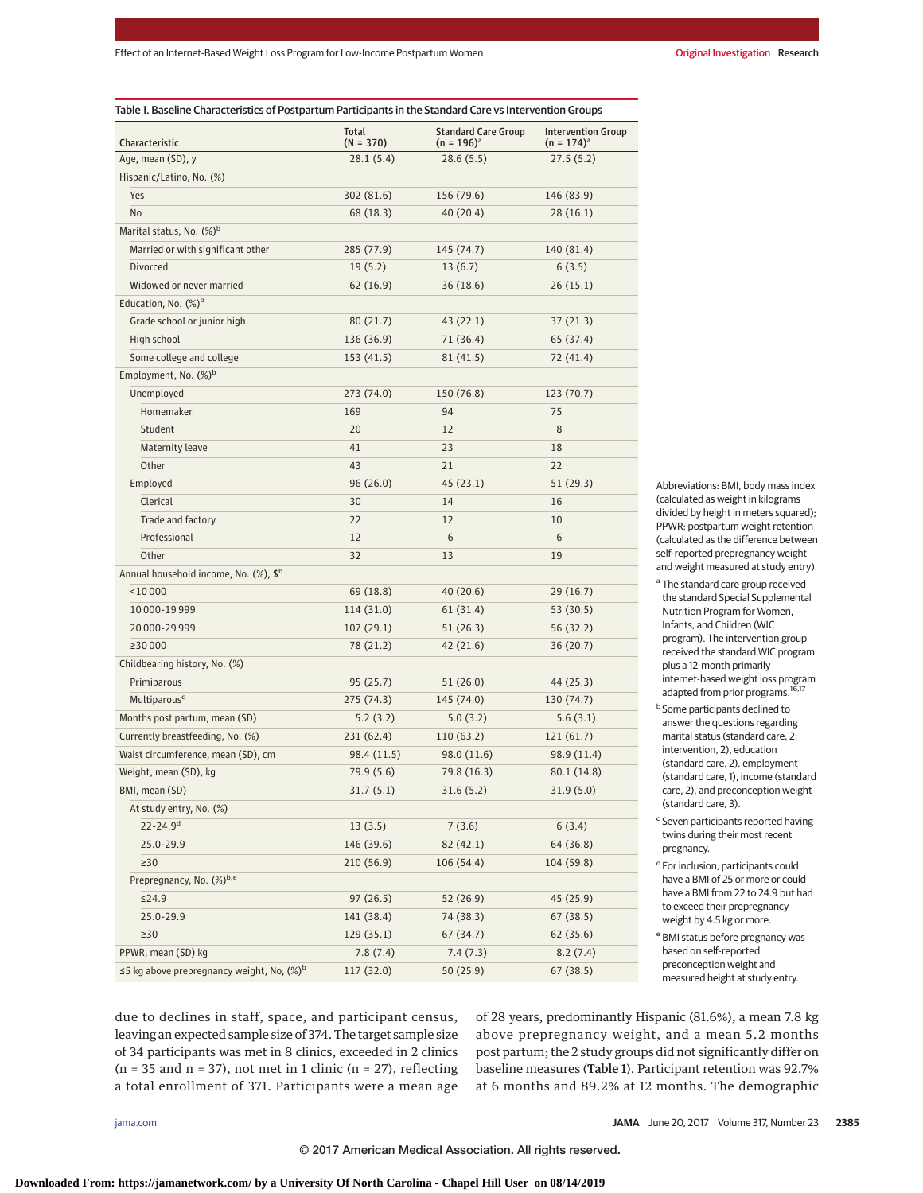| Table 1. Baseline Characteristics of Postpartum Participants in the Standard Care vs Intervention Groups |                      |                                               |                                              |  |  |
|----------------------------------------------------------------------------------------------------------|----------------------|-----------------------------------------------|----------------------------------------------|--|--|
| Characteristic                                                                                           | Total<br>$(N = 370)$ | <b>Standard Care Group</b><br>$(n = 196)^{a}$ | <b>Intervention Group</b><br>$(n = 174)^{a}$ |  |  |
| Age, mean (SD), y                                                                                        | 28.1 (5.4)           | 28.6(5.5)                                     | 27.5(5.2)                                    |  |  |
| Hispanic/Latino, No. (%)                                                                                 |                      |                                               |                                              |  |  |
| Yes                                                                                                      | 302 (81.6)           | 156 (79.6)                                    | 146 (83.9)                                   |  |  |
| No                                                                                                       | 68 (18.3)            | 40 (20.4)                                     | 28 (16.1)                                    |  |  |
| Marital status, No. $(\%)^b$                                                                             |                      |                                               |                                              |  |  |
| Married or with significant other                                                                        | 285 (77.9)           | 145 (74.7)                                    | 140 (81.4)                                   |  |  |
| Divorced                                                                                                 | 19(5.2)              | 13(6.7)                                       | 6(3.5)                                       |  |  |
| Widowed or never married                                                                                 | 62 (16.9)            | 36(18.6)                                      | 26(15.1)                                     |  |  |
| Education, No. $(\%)^b$                                                                                  |                      |                                               |                                              |  |  |
| Grade school or junior high                                                                              | 80 (21.7)            | 43 (22.1)                                     | 37 (21.3)                                    |  |  |
| High school                                                                                              | 136 (36.9)           | 71 (36.4)                                     | 65 (37.4)                                    |  |  |
| Some college and college                                                                                 | 153 (41.5)           | 81 (41.5)                                     | 72 (41.4)                                    |  |  |
| Employment, No. (%) <sup>b</sup>                                                                         |                      |                                               |                                              |  |  |
| Unemployed                                                                                               | 273 (74.0)           | 150 (76.8)                                    | 123 (70.7)                                   |  |  |
| Homemaker                                                                                                | 169                  | 94                                            | 75                                           |  |  |
| Student                                                                                                  | 20                   | 12                                            | 8                                            |  |  |
| <b>Maternity leave</b>                                                                                   | 41                   | 23                                            | 18                                           |  |  |
| Other                                                                                                    | 43                   | 21                                            | 22                                           |  |  |
| Employed                                                                                                 | 96(26.0)             | 45(23.1)                                      | 51 (29.3)                                    |  |  |
| Clerical                                                                                                 | 30                   | 14                                            | 16                                           |  |  |
| Trade and factory                                                                                        | 22                   | 12                                            | 10                                           |  |  |
| Professional                                                                                             | 12                   | 6                                             | 6                                            |  |  |
| Other                                                                                                    | 32                   | 13                                            | 19                                           |  |  |
| Annual household income, No. (%), \$ <sup>b</sup>                                                        |                      |                                               |                                              |  |  |
| $<$ 10000                                                                                                | 69 (18.8)            | 40 (20.6)                                     | 29(16.7)                                     |  |  |
| 10 000-19 999                                                                                            | 114 (31.0)           | 61 (31.4)                                     | 53 (30.5)                                    |  |  |
| 20 000-29 999                                                                                            | 107(29.1)            | 51 (26.3)                                     | 56 (32.2)                                    |  |  |
| ≥30 000                                                                                                  | 78 (21.2)            | 42 (21.6)                                     | 36 (20.7)                                    |  |  |
| Childbearing history, No. (%)                                                                            |                      |                                               |                                              |  |  |
| Primiparous                                                                                              | 95 (25.7)            | 51(26.0)                                      | 44 (25.3)                                    |  |  |
| Multiparous <sup>c</sup>                                                                                 | 275 (74.3)           | 145 (74.0)                                    | 130 (74.7)                                   |  |  |
| Months post partum, mean (SD)                                                                            | 5.2(3.2)             | 5.0(3.2)                                      | 5.6(3.1)                                     |  |  |
| Currently breastfeeding, No. (%)                                                                         | 231 (62.4)           | 110 (63.2)                                    | 121(61.7)                                    |  |  |
| Waist circumference, mean (SD), cm                                                                       | 98.4 (11.5)          | 98.0 (11.6)                                   | 98.9 (11.4)                                  |  |  |
| Weight, mean (SD), kg                                                                                    | 79.9 (5.6)           | 79.8 (16.3)                                   | 80.1 (14.8)                                  |  |  |
| BMI, mean (SD)                                                                                           | 31.7(5.1)            | 31.6(5.2)                                     | 31.9 (5.0)                                   |  |  |
| At study entry, No. (%)                                                                                  |                      |                                               |                                              |  |  |
| $22 - 24.9$ <sup>d</sup>                                                                                 | 13(3.5)              | 7(3.6)                                        | 6(3.4)                                       |  |  |
| 25.0-29.9                                                                                                | 146 (39.6)           | 82 (42.1)                                     | 64 (36.8)                                    |  |  |
| $\geq$ 30                                                                                                | 210 (56.9)           | 106 (54.4)                                    | 104 (59.8)                                   |  |  |
| Prepregnancy, No. (%)b,e                                                                                 |                      |                                               |                                              |  |  |
| ≤24.9                                                                                                    | 97(26.5)             | 52 (26.9)                                     | 45 (25.9)                                    |  |  |
| 25.0-29.9                                                                                                | 141 (38.4)           | 74 (38.3)                                     | 67 (38.5)                                    |  |  |
| $\geq$ 30                                                                                                | 129 (35.1)           | 67 (34.7)                                     | 62 (35.6)                                    |  |  |
| PPWR, mean (SD) kg                                                                                       | 7.8(7.4)             | 7.4 (7.3)                                     | 8.2(7.4)                                     |  |  |
| $\leq$ 5 kg above prepregnancy weight, No, $(\%)^b$                                                      | 117 (32.0)           | 50(25.9)                                      | 67(38.5)                                     |  |  |

Abbreviations: BMI, body mass index (calculated as weight in kilograms divided by height in meters squared); PPWR; postpartum weight retention (calculated as the difference between self-reported prepregnancy weight and weight measured at study entry).

- a The standard care group received the standard Special Supplemental Nutrition Program for Women, Infants, and Children (WIC program). The intervention group received the standard WIC program plus a 12-month primarily internet-based weight loss program adapted from prior programs.<sup>16,17</sup>
- **b** Some participants declined to answer the questions regarding marital status (standard care, 2; intervention, 2), education (standard care, 2), employment (standard care, 1), income (standard care, 2), and preconception weight (standard care, 3).
- <sup>c</sup> Seven participants reported having twins during their most recent pregnancy.
- <sup>d</sup> For inclusion, participants could have a BMI of 25 or more or could have a BMI from 22 to 24.9 but had to exceed their prepregnancy weight by 4.5 kg or more.
- <sup>e</sup> BMI status before pregnancy was based on self-reported preconception weight and measured height at study entry.

due to declines in staff, space, and participant census, leaving an expected sample size of 374. The target sample size of 34 participants was met in 8 clinics, exceeded in 2 clinics  $(n = 35$  and  $n = 37)$ , not met in 1 clinic  $(n = 27)$ , reflecting a total enrollment of 371. Participants were a mean age of 28 years, predominantly Hispanic (81.6%), a mean 7.8 kg above prepregnancy weight, and a mean 5.2 months post partum; the 2 study groups did not significantly differ on baseline measures (Table 1). Participant retention was 92.7% at 6 months and 89.2% at 12 months. The demographic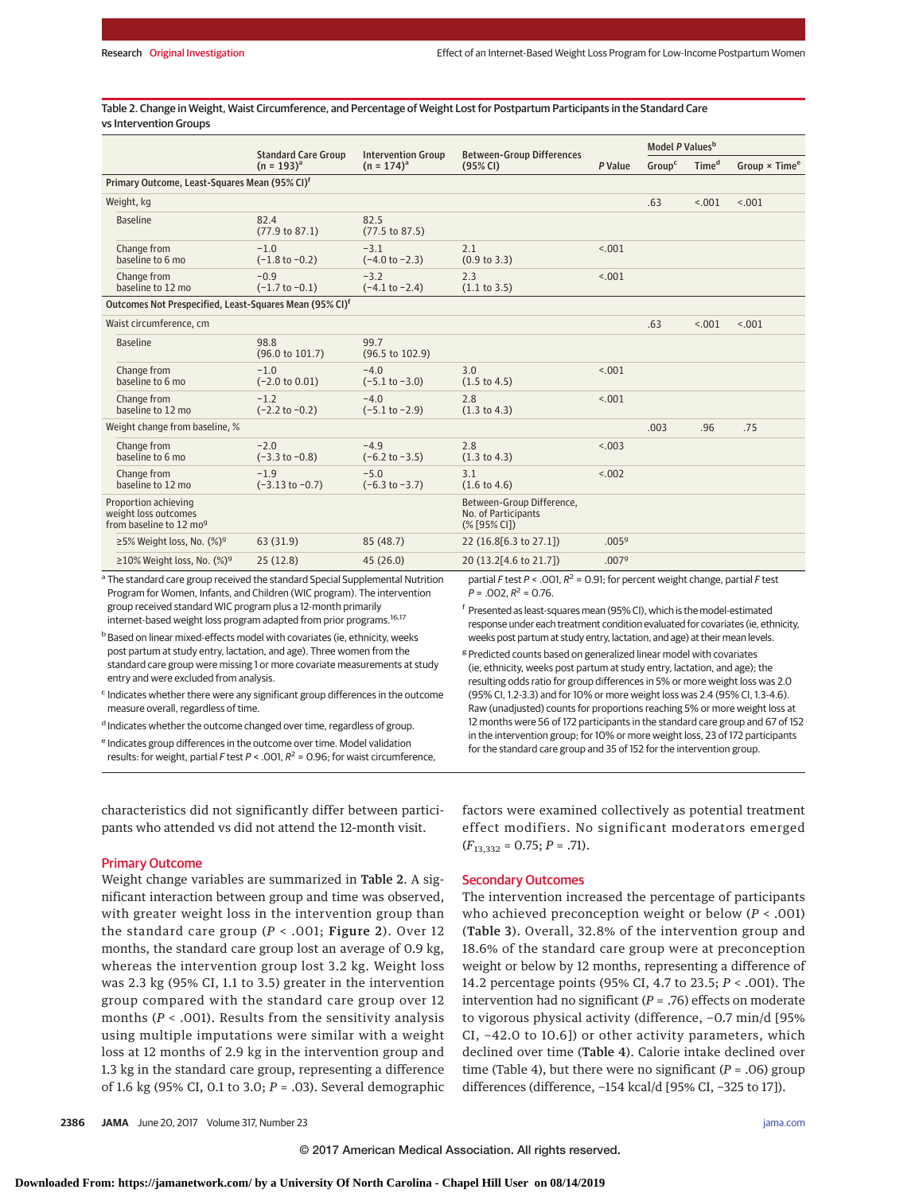Table 2. Change in Weight, Waist Circumference, and Percentage of Weight Lost for Postpartum Participants in the Standard Care vs Intervention Groups

|                                                                                           | <b>Standard Care Group</b><br><b>Intervention Group</b> |                                     | <b>Between-Group Differences</b>                                                 |                   | Model P Values <sup>b</sup> |                   |                                  |
|-------------------------------------------------------------------------------------------|---------------------------------------------------------|-------------------------------------|----------------------------------------------------------------------------------|-------------------|-----------------------------|-------------------|----------------------------------|
|                                                                                           | $(n = 193)^{a}$                                         | $(n = 174)^a$                       | (95% CI)                                                                         | P Value           | Group <sup>c</sup>          | Time <sup>d</sup> | Group $\times$ Time <sup>e</sup> |
| Primary Outcome, Least-Squares Mean (95% CI) <sup>f</sup>                                 |                                                         |                                     |                                                                                  |                   |                             |                   |                                  |
| Weight, kg                                                                                |                                                         |                                     |                                                                                  |                   | .63                         | < .001            | < .001                           |
| <b>Baseline</b>                                                                           | 82.4<br>(77.9 to 87.1)                                  | 82.5<br>$(77.5 \text{ to } 87.5)$   |                                                                                  |                   |                             |                   |                                  |
| Change from<br>baseline to 6 mo                                                           | $-1.0$<br>$(-1.8 to -0.2)$                              | $-3.1$<br>$(-4.0 to -2.3)$          | 2.1<br>(0.9 to 3.3)                                                              | < 0.01            |                             |                   |                                  |
| Change from<br>baseline to 12 mo                                                          | $-0.9$<br>$(-1.7 to -0.1)$                              | $-3.2$<br>$(-4.1 to -2.4)$          | 2.3<br>(1.1 to 3.5)                                                              | < .001            |                             |                   |                                  |
| Outcomes Not Prespecified, Least-Squares Mean (95% CI) <sup>f</sup>                       |                                                         |                                     |                                                                                  |                   |                             |                   |                                  |
| Waist circumference, cm                                                                   |                                                         |                                     |                                                                                  |                   | .63                         | < .001            | < .001                           |
| <b>Baseline</b>                                                                           | 98.8<br>$(96.0 \text{ to } 101.7)$                      | 99.7<br>$(96.5 \text{ to } 102.9)$  |                                                                                  |                   |                             |                   |                                  |
| Change from<br>baseline to 6 mo                                                           | $-1.0$<br>$(-2.0 to 0.01)$                              | $-4.0$<br>$(-5.1 to -3.0)$          | 3.0<br>$(1.5 \text{ to } 4.5)$                                                   | < 0.01            |                             |                   |                                  |
| Change from<br>baseline to 12 mo                                                          | $-1.2$<br>$(-2.2$ to $-0.2)$                            | $-4.0$<br>$(-5.1 to -2.9)$          | 2.8<br>$(1.3 \text{ to } 4.3)$                                                   | < .001            |                             |                   |                                  |
| Weight change from baseline, %                                                            |                                                         |                                     |                                                                                  |                   | .003                        | .96               | .75                              |
| Change from<br>baseline to 6 mo                                                           | $-2.0$<br>$(-3.3 to -0.8)$                              | $-4.9$<br>$(-6.2 \text{ to } -3.5)$ | 2.8<br>(1.3 to 4.3)                                                              | < 0.03            |                             |                   |                                  |
| Change from<br>baseline to 12 mo                                                          | $-1.9$<br>$(-3.13 \text{ to } -0.7)$                    | $-5.0$<br>$(-6.3 to -3.7)$          | 3.1<br>$(1.6 \text{ to } 4.6)$                                                   | < 0.002           |                             |                   |                                  |
| Proportion achieving<br>weight loss outcomes<br>from baseline to 12 mog                   |                                                         |                                     | Between-Group Difference,<br>No. of Participants<br>(% [95% CI])                 |                   |                             |                   |                                  |
| ≥5% Weight loss, No. (%) <sup>9</sup>                                                     | 63 (31.9)                                               | 85 (48.7)                           | 22 (16.8[6.3 to 27.1])                                                           | .005 <sup>9</sup> |                             |                   |                                  |
| ≥10% Weight loss, No. $(\%)^9$                                                            | 25(12.8)                                                | 45(26.0)                            | 20 (13.2[4.6 to 21.7])                                                           | .0079             |                             |                   |                                  |
| <sup>a</sup> The standard care group received the standard Special Supplemental Nutrition |                                                         |                                     | partial F test P < .001, $R^2$ = 0.91; for percent weight change, partial F test |                   |                             |                   |                                  |

<sup>a</sup> The standard care group received the standard Special Supplemental Nutrition Program for Women, Infants, and Children (WIC program). The intervention group received standard WIC program plus a 12-month primarily internet-based weight loss program adapted from prior programs.<sup>16,17</sup>

**b** Based on linear mixed-effects model with covariates (ie, ethnicity, weeks post partum at study entry, lactation, and age). Three women from the standard care group were missing 1 or more covariate measurements at study entry and were excluded from analysis.

 $c$  Indicates whether there were any significant group differences in the outcome measure overall, regardless of time.

d Indicates whether the outcome changed over time, regardless of group.

e Indicates group differences in the outcome over time. Model validation results: for weight, partial F test  $P < .001$ ,  $R^2 = 0.96$ ; for waist circumference,

characteristics did not significantly differ between participants who attended vs did not attend the 12-month visit.

#### Primary Outcome

Weight change variables are summarized in Table 2. A significant interaction between group and time was observed, with greater weight loss in the intervention group than the standard care group ( $P < .001$ ; Figure 2). Over 12 months, the standard care group lost an average of 0.9 kg, whereas the intervention group lost 3.2 kg. Weight loss was 2.3 kg (95% CI, 1.1 to 3.5) greater in the intervention group compared with the standard care group over 12 months (*P* < .001). Results from the sensitivity analysis using multiple imputations were similar with a weight loss at 12 months of 2.9 kg in the intervention group and 1.3 kg in the standard care group, representing a difference of 1.6 kg (95% CI, 0.1 to 3.0; *P* = .03). Several demographic

response under each treatment condition evaluated for covariates (ie, ethnicity, weeks post partum at study entry, lactation, and age) at their mean levels. <sup>g</sup> Predicted counts based on generalized linear model with covariates

<sup>f</sup> Presented as least-squares mean (95% CI), which is the model-estimated

(ie, ethnicity, weeks post partum at study entry, lactation, and age); the resulting odds ratio for group differences in 5% or more weight loss was 2.0 (95% CI, 1.2-3.3) and for 10% or more weight loss was 2.4 (95% CI, 1.3-4.6). Raw (unadjusted) counts for proportions reaching 5% or more weight loss at 12 months were 56 of 172 participants in the standard care group and 67 of 152 in the intervention group; for 10% or more weight loss, 23 of 172 participants for the standard care group and 35 of 152 for the intervention group.

factors were examined collectively as potential treatment effect modifiers. No significant moderators emerged  $(F_{13,332} = 0.75; P = .71).$ 

#### Secondary Outcomes

 $P = 0.02$ ,  $R^2 = 0.76$ .

The intervention increased the percentage of participants who achieved preconception weight or below (*P* < .001) (Table 3). Overall, 32.8% of the intervention group and 18.6% of the standard care group were at preconception weight or below by 12 months, representing a difference of 14.2 percentage points (95% CI, 4.7 to 23.5; *P* < .001). The intervention had no significant (*P* = .76) effects on moderate to vigorous physical activity (difference, −0.7 min/d [95% CI, −42.0 to 10.6]) or other activity parameters, which declined over time (Table 4). Calorie intake declined over time (Table 4), but there were no significant (*P* = .06) group differences (difference, −154 kcal/d [95% CI, −325 to 17]).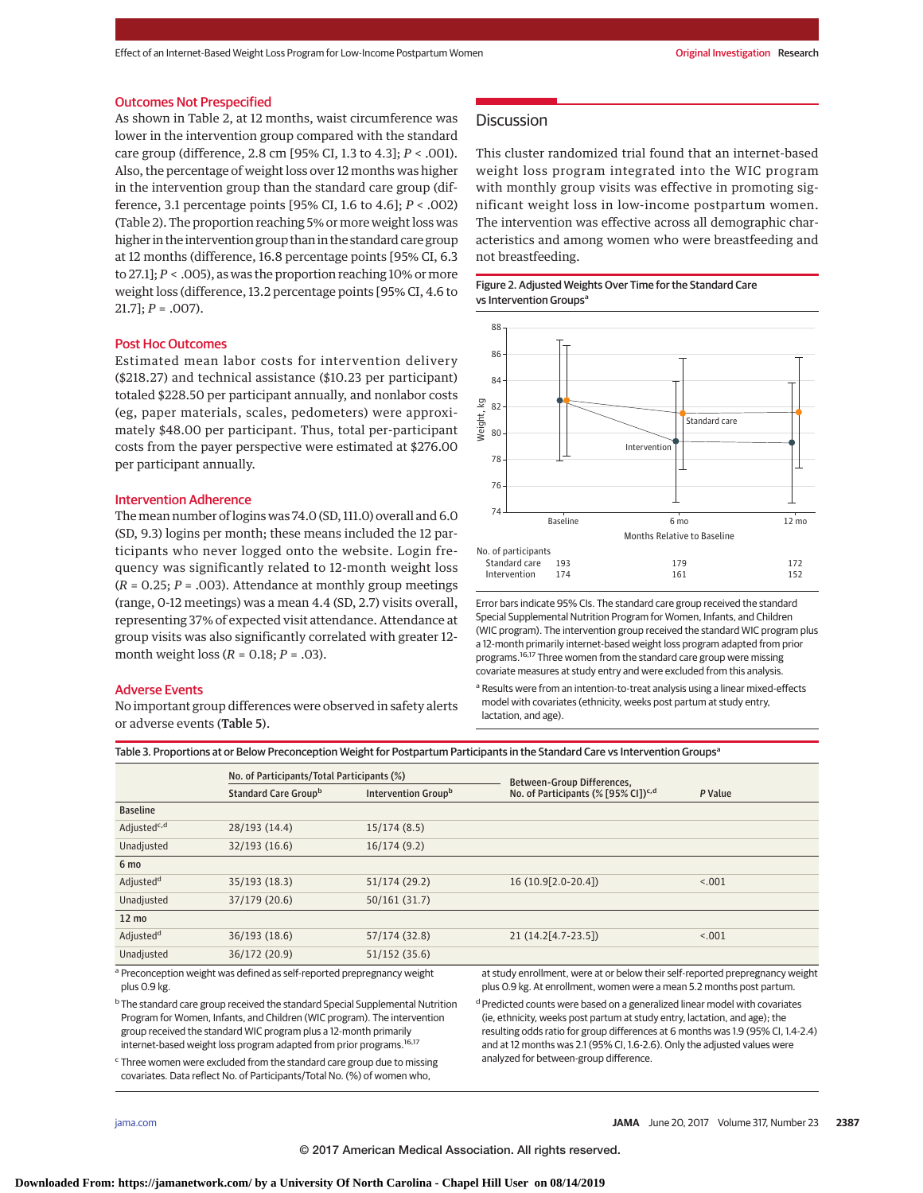#### Outcomes Not Prespecified

As shown in Table 2, at 12 months, waist circumference was lower in the intervention group compared with the standard care group (difference, 2.8 cm [95% CI, 1.3 to 4.3]; *P* < .001). Also, the percentage of weight loss over 12 months was higher in the intervention group than the standard care group (difference, 3.1 percentage points [95% CI, 1.6 to 4.6]; *P* < .002) (Table 2). The proportion reaching 5% or more weight loss was higher in the intervention group than in the standard care group at 12 months (difference, 16.8 percentage points [95% CI, 6.3 to 27.1]; *P* < .005), as was the proportion reaching 10% or more weight loss (difference, 13.2 percentage points [95% CI, 4.6 to  $21.7$ ;  $P = .007$ ).

#### Post Hoc Outcomes

Estimated mean labor costs for intervention delivery (\$218.27) and technical assistance (\$10.23 per participant) totaled \$228.50 per participant annually, and nonlabor costs (eg, paper materials, scales, pedometers) were approximately \$48.00 per participant. Thus, total per-participant costs from the payer perspective were estimated at \$276.00 per participant annually.

#### Intervention Adherence

The mean number of logins was 74.0 (SD, 111.0) overall and 6.0 (SD, 9.3) logins per month; these means included the 12 participants who never logged onto the website. Login frequency was significantly related to 12-month weight loss  $(R = 0.25; P = .003)$ . Attendance at monthly group meetings (range, 0-12 meetings) was a mean 4.4 (SD, 2.7) visits overall, representing 37% of expected visit attendance. Attendance at group visits was also significantly correlated with greater 12 month weight loss (*R* = 0.18; *P* = .03).

#### Adverse Events

No important group differences were observed in safety alerts or adverse events (Table 5).

# **Discussion**

This cluster randomized trial found that an internet-based weight loss program integrated into the WIC program with monthly group visits was effective in promoting significant weight loss in low-income postpartum women. The intervention was effective across all demographic characteristics and among women who were breastfeeding and not breastfeeding.





Error bars indicate 95% CIs. The standard care group received the standard Special Supplemental Nutrition Program for Women, Infants, and Children (WIC program). The intervention group received the standard WIC program plus a 12-month primarily internet-based weight loss program adapted from prior programs.<sup>16,17</sup> Three women from the standard care group were missing covariate measures at study entry and were excluded from this analysis.

a Results were from an intention-to-treat analysis using a linear mixed-effects model with covariates (ethnicity, weeks post partum at study entry, lactation, and age).

Table 3. Proportions at or Below Preconception Weight for Postpartum Participants in the Standard Care vs Intervention Groups<sup>a</sup>

|                                                                                         | No. of Participants/Total Participants (%)                              |                                                                           | Between-Group Differences,                                                                                                                             |         |  |
|-----------------------------------------------------------------------------------------|-------------------------------------------------------------------------|---------------------------------------------------------------------------|--------------------------------------------------------------------------------------------------------------------------------------------------------|---------|--|
|                                                                                         | Standard Care Groupb<br>Intervention Groupb                             |                                                                           | No. of Participants (% [95% CI]) <sup>c,d</sup>                                                                                                        | P Value |  |
| <b>Baseline</b>                                                                         |                                                                         |                                                                           |                                                                                                                                                        |         |  |
| Adjusted <sup>c,d</sup>                                                                 | 28/193 (14.4)                                                           | 15/174(8.5)                                                               |                                                                                                                                                        |         |  |
| Unadjusted                                                                              | 32/193(16.6)                                                            | 16/174(9.2)                                                               |                                                                                                                                                        |         |  |
| 6 mo                                                                                    |                                                                         |                                                                           |                                                                                                                                                        |         |  |
| Adjusted <sup>d</sup>                                                                   | 35/193 (18.3)                                                           | 51/174 (29.2)                                                             | 16 (10.9 [2.0 - 20.4])                                                                                                                                 | < 0.01  |  |
| Unadjusted                                                                              | 37/179 (20.6)                                                           | 50/161(31.7)                                                              |                                                                                                                                                        |         |  |
| $12 \text{ mo}$                                                                         |                                                                         |                                                                           |                                                                                                                                                        |         |  |
| Adjusted <sup>d</sup>                                                                   | 36/193 (18.6)                                                           | 57/174 (32.8)                                                             | $21(14.2[4.7-23.5])$                                                                                                                                   | < 0.001 |  |
| Unadjusted                                                                              | 36/172 (20.9)                                                           | 51/152(35.6)                                                              |                                                                                                                                                        |         |  |
| plus 0.9 kg.                                                                            | a Preconception weight was defined as self-reported prepregnancy weight |                                                                           | at study enrollment, were at or below their self-reported prepregnancy weight<br>plus 0.9 kg. At enrollment, women were a mean 5.2 months post partum. |         |  |
| $^{\rm b}$ The standard care group received the standard Coesial Cupplemental Nutrition |                                                                         | Dredicted counts were based on a generalized linear model with covariates |                                                                                                                                                        |         |  |

e group receive Program for Women, Infants, and Children (WIC program). The intervention group received the standard WIC program plus a 12-month primarily internet-based weight loss program adapted from prior programs.<sup>16,17</sup>

<sup>c</sup> Three women were excluded from the standard care group due to missing covariates. Data reflect No. of Participants/Total No. (%) of women who,

d on a genera (ie, ethnicity, weeks post partum at study entry, lactation, and age); the resulting odds ratio for group differences at 6 months was 1.9 (95% CI, 1.4-2.4)

and at 12 months was 2.1 (95% CI, 1.6-2.6). Only the adjusted values were analyzed for between-group difference.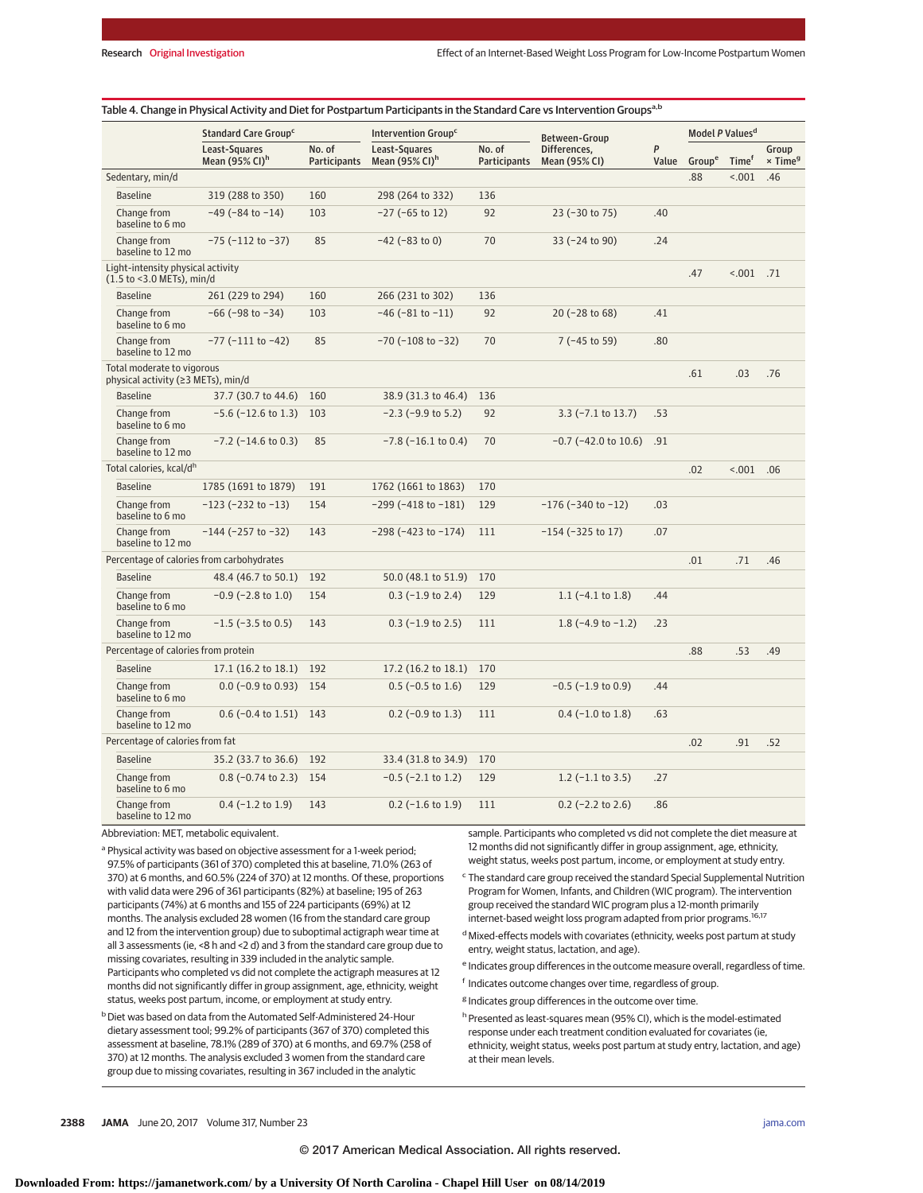|                                                                  | Standard Care Group <sup>c</sup>               |                               | Intervention Group <sup>c</sup>                |                               | Between-Group                 |            | Model P Values <sup>d</sup> |                   |                              |
|------------------------------------------------------------------|------------------------------------------------|-------------------------------|------------------------------------------------|-------------------------------|-------------------------------|------------|-----------------------------|-------------------|------------------------------|
|                                                                  | Least-Squares<br>Mean $(95\%$ CI) <sup>h</sup> | No. of<br><b>Participants</b> | Least-Squares<br>Mean $(95\%$ CI) <sup>h</sup> | No. of<br><b>Participants</b> | Differences,<br>Mean (95% CI) | P<br>Value | Group <sup>e</sup>          | Time <sup>f</sup> | Group<br>× Time <sup>g</sup> |
| Sedentary, min/d                                                 |                                                |                               |                                                |                               |                               |            | .88                         | < .001            | .46                          |
| <b>Baseline</b>                                                  | 319 (288 to 350)                               | 160                           | 298 (264 to 332)                               | 136                           |                               |            |                             |                   |                              |
| Change from<br>baseline to 6 mo                                  | $-49$ ( $-84$ to $-14$ )                       | 103                           | $-27$ ( $-65$ to 12)                           | 92                            | 23 (-30 to 75)                | .40        |                             |                   |                              |
| Change from<br>baseline to 12 mo                                 | $-75$ ( $-112$ to $-37$ )                      | 85                            | $-42$ ( $-83$ to 0)                            | 70                            | 33 (-24 to 90)                | .24        |                             |                   |                              |
| Light-intensity physical activity<br>(1.5 to <3.0 METs), min/d   |                                                |                               |                                                |                               |                               |            | .47                         | $001$ .71         |                              |
| <b>Baseline</b>                                                  | 261 (229 to 294)                               | 160                           | 266 (231 to 302)                               | 136                           |                               |            |                             |                   |                              |
| Change from<br>baseline to 6 mo                                  | $-66$ ( $-98$ to $-34$ )                       | 103                           | $-46$ ( $-81$ to $-11$ )                       | 92                            | 20 (-28 to 68)                | .41        |                             |                   |                              |
| Change from<br>baseline to 12 mo                                 | $-77$ ( $-111$ to $-42$ )                      | 85                            | $-70$ ( $-108$ to $-32$ )                      | 70                            | $7$ (-45 to 59)               | .80        |                             |                   |                              |
| Total moderate to vigorous<br>physical activity (≥3 METs), min/d |                                                |                               |                                                |                               |                               |            | .61                         | .03               | .76                          |
| <b>Baseline</b>                                                  | 37.7 (30.7 to 44.6) 160                        |                               | 38.9 (31.3 to 46.4)                            | 136                           |                               |            |                             |                   |                              |
| Change from<br>baseline to 6 mo                                  | $-5.6$ ( $-12.6$ to 1.3) 103                   |                               | $-2.3$ ( $-9.9$ to 5.2)                        | 92                            | $3.3$ ( $-7.1$ to 13.7)       | .53        |                             |                   |                              |
| Change from<br>baseline to 12 mo                                 | $-7.2$ ( $-14.6$ to 0.3)                       | 85                            | $-7.8$ ( $-16.1$ to 0.4)                       | 70                            | $-0.7$ ( $-42.0$ to $10.6$ )  | .91        |                             |                   |                              |
| Total calories, kcal/dh                                          |                                                |                               |                                                |                               |                               |            | .02                         | < .001            | .06                          |
| <b>Baseline</b>                                                  | 1785 (1691 to 1879)                            | 191                           | 1762 (1661 to 1863)                            | 170                           |                               |            |                             |                   |                              |
| Change from<br>baseline to 6 mo                                  | $-123$ ( $-232$ to $-13$ )                     | 154                           | $-299$ ( $-418$ to $-181$ )                    | 129                           | $-176$ ( $-340$ to $-12$ )    | .03        |                             |                   |                              |
| Change from<br>baseline to 12 mo                                 | $-144$ (-257 to -32)                           | 143                           | $-298$ ( $-423$ to $-174$ )                    | 111                           | $-154$ ( $-325$ to 17)        | .07        |                             |                   |                              |
|                                                                  | Percentage of calories from carbohydrates      |                               |                                                |                               |                               |            | .01                         | .71               | .46                          |
| <b>Baseline</b>                                                  | 48.4 (46.7 to 50.1)                            | 192                           | 50.0 (48.1 to 51.9)                            | 170                           |                               |            |                             |                   |                              |
| Change from<br>baseline to 6 mo                                  | $-0.9$ ( $-2.8$ to 1.0)                        | 154                           | $0.3$ (-1.9 to 2.4)                            | 129                           | 1.1 $(-4.1 \text{ to } 1.8)$  | .44        |                             |                   |                              |
| Change from<br>baseline to 12 mo                                 | $-1.5$ ( $-3.5$ to 0.5)                        | 143                           | $0.3$ (-1.9 to 2.5)                            | 111                           | 1.8 $(-4.9 \text{ to } -1.2)$ | .23        |                             |                   |                              |
| Percentage of calories from protein                              |                                                |                               |                                                |                               |                               |            | .88                         | .53               | .49                          |
| <b>Baseline</b>                                                  | $17.1(16.2 \text{ to } 18.1)$                  | 192                           | 17.2 (16.2 to 18.1)                            | 170                           |                               |            |                             |                   |                              |
| Change from<br>baseline to 6 mo                                  | $0.0$ (-0.9 to 0.93)                           | 154                           | $0.5$ (-0.5 to 1.6)                            | 129                           | $-0.5$ ( $-1.9$ to 0.9)       | .44        |                             |                   |                              |
| Change from<br>baseline to 12 mo                                 | $0.6$ (-0.4 to 1.51)                           | 143                           | $0.2$ (-0.9 to 1.3)                            | 111                           | $0.4$ (-1.0 to 1.8)           | .63        |                             |                   |                              |
| Percentage of calories from fat                                  |                                                |                               |                                                |                               |                               |            | .02                         | .91               | .52                          |
| <b>Baseline</b>                                                  | 35.2 (33.7 to 36.6) 192                        |                               | 33.4 (31.8 to 34.9)                            | 170                           |                               |            |                             |                   |                              |
| Change from<br>baseline to 6 mo                                  | $0.8$ (-0.74 to 2.3) 154                       |                               | $-0.5$ ( $-2.1$ to 1.2)                        | 129                           | $1.2$ (-1.1 to 3.5)           | .27        |                             |                   |                              |
| Change from<br>baseline to 12 mo                                 | $0.4$ (-1.2 to 1.9)                            | 143                           | $0.2$ (-1.6 to 1.9)                            | 111                           | $0.2$ (-2.2 to 2.6)           | .86        |                             |                   |                              |

Abbreviation: MET, metabolic equivalent.

<sup>a</sup> Physical activity was based on objective assessment for a 1-week period; 97.5% of participants (361 of 370) completed this at baseline, 71.0% (263 of 370) at 6 months, and 60.5% (224 of 370) at 12 months. Of these, proportions with valid data were 296 of 361 participants (82%) at baseline; 195 of 263 participants (74%) at 6 months and 155 of 224 participants (69%) at 12 months. The analysis excluded 28 women (16 from the standard care group and 12 from the intervention group) due to suboptimal actigraph wear time at all 3 assessments (ie, <8 h and <2 d) and 3 from the standard care group due to missing covariates, resulting in 339 included in the analytic sample. Participants who completed vs did not complete the actigraph measures at 12 months did not significantly differ in group assignment, age, ethnicity, weight status, weeks post partum, income, or employment at study entry.

b Diet was based on data from the Automated Self-Administered 24-Hour dietary assessment tool; 99.2% of participants (367 of 370) completed this assessment at baseline, 78.1% (289 of 370) at 6 months, and 69.7% (258 of 370) at 12 months. The analysis excluded 3 women from the standard care group due to missing covariates, resulting in 367 included in the analytic

sample. Participants who completed vs did not complete the diet measure at 12 months did not significantly differ in group assignment, age, ethnicity, weight status, weeks post partum, income, or employment at study entry.

<sup>c</sup> The standard care group received the standard Special Supplemental Nutrition Program for Women, Infants, and Children (WIC program). The intervention group received the standard WIC program plus a 12-month primarily internet-based weight loss program adapted from prior programs.<sup>16,17</sup>

- $d$  Mixed-effects models with covariates (ethnicity, weeks post partum at study entry, weight status, lactation, and age).
- <sup>e</sup> Indicates group differences in the outcome measure overall, regardless of time.
- <sup>f</sup> Indicates outcome changes over time, regardless of group.
- <sup>g</sup> Indicates group differences in the outcome over time.
- h Presented as least-squares mean (95% CI), which is the model-estimated response under each treatment condition evaluated for covariates (ie, ethnicity, weight status, weeks post partum at study entry, lactation, and age) at their mean levels.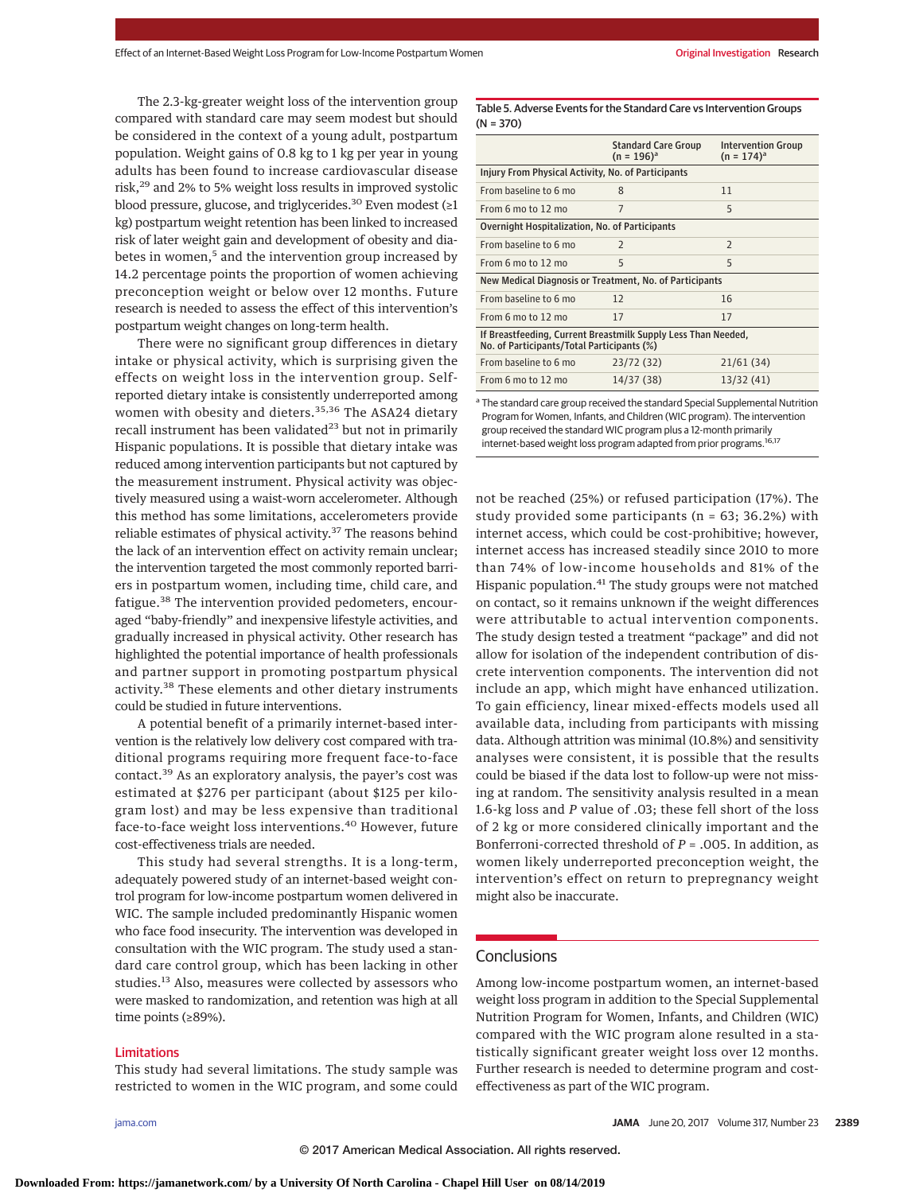The 2.3-kg-greater weight loss of the intervention group compared with standard care may seem modest but should be considered in the context of a young adult, postpartum population. Weight gains of 0.8 kg to 1 kg per year in young adults has been found to increase cardiovascular disease risk,29 and 2% to 5% weight loss results in improved systolic blood pressure, glucose, and triglycerides.<sup>30</sup> Even modest (≥1 kg) postpartum weight retention has been linked to increased risk of later weight gain and development of obesity and diabetes in women,<sup>5</sup> and the intervention group increased by 14.2 percentage points the proportion of women achieving preconception weight or below over 12 months. Future research is needed to assess the effect of this intervention's postpartum weight changes on long-term health.

There were no significant group differences in dietary intake or physical activity, which is surprising given the effects on weight loss in the intervention group. Selfreported dietary intake is consistently underreported among women with obesity and dieters.<sup>35,36</sup> The ASA24 dietary recall instrument has been validated $23$  but not in primarily Hispanic populations. It is possible that dietary intake was reduced among intervention participants but not captured by the measurement instrument. Physical activity was objectively measured using a waist-worn accelerometer. Although this method has some limitations, accelerometers provide reliable estimates of physical activity.<sup>37</sup> The reasons behind the lack of an intervention effect on activity remain unclear; the intervention targeted the most commonly reported barriers in postpartum women, including time, child care, and fatigue.<sup>38</sup> The intervention provided pedometers, encouraged "baby-friendly" and inexpensive lifestyle activities, and gradually increased in physical activity. Other research has highlighted the potential importance of health professionals and partner support in promoting postpartum physical activity.<sup>38</sup> These elements and other dietary instruments could be studied in future interventions.

A potential benefit of a primarily internet-based intervention is the relatively low delivery cost compared with traditional programs requiring more frequent face-to-face contact.<sup>39</sup> As an exploratory analysis, the payer's cost was estimated at \$276 per participant (about \$125 per kilogram lost) and may be less expensive than traditional face-to-face weight loss interventions.<sup>40</sup> However, future cost-effectiveness trials are needed.

This study had several strengths. It is a long-term, adequately powered study of an internet-based weight control program for low-income postpartum women delivered in WIC. The sample included predominantly Hispanic women who face food insecurity. The intervention was developed in consultation with the WIC program. The study used a standard care control group, which has been lacking in other studies.<sup>13</sup> Also, measures were collected by assessors who were masked to randomization, and retention was high at all time points (≥89%).

## Limitations

This study had several limitations. The study sample was restricted to women in the WIC program, and some could

Table 5. Adverse Events for the Standard Care vs Intervention Groups (N = 370)

|                                                                                                             | <b>Standard Care Group</b><br>$(n = 196)^{a}$ | <b>Intervention Group</b><br>$(n = 174)^a$ |  |  |  |  |
|-------------------------------------------------------------------------------------------------------------|-----------------------------------------------|--------------------------------------------|--|--|--|--|
| Injury From Physical Activity, No. of Participants                                                          |                                               |                                            |  |  |  |  |
| From baseline to 6 mo                                                                                       | 8                                             | 11                                         |  |  |  |  |
| From 6 mo to 12 mo                                                                                          | 7                                             | 5                                          |  |  |  |  |
| Overnight Hospitalization, No. of Participants                                                              |                                               |                                            |  |  |  |  |
| From baseline to 6 mo                                                                                       | $\mathcal{P}$                                 | $\mathcal{P}$                              |  |  |  |  |
| From 6 mo to 12 mo                                                                                          | 5                                             | 5                                          |  |  |  |  |
| New Medical Diagnosis or Treatment, No. of Participants                                                     |                                               |                                            |  |  |  |  |
| From baseline to 6 mo                                                                                       | 12                                            | 16                                         |  |  |  |  |
| From 6 mo to 12 mo                                                                                          | 17                                            | 17                                         |  |  |  |  |
| If Breastfeeding, Current Breastmilk Supply Less Than Needed,<br>No. of Participants/Total Participants (%) |                                               |                                            |  |  |  |  |
| From baseline to 6 mo                                                                                       | 23/72 (32)                                    | 21/61(34)                                  |  |  |  |  |
| From 6 mo to 12 mo                                                                                          | 14/37 (38)                                    | 13/32 (41)                                 |  |  |  |  |

<sup>a</sup> The standard care group received the standard Special Supplemental Nutrition Program for Women, Infants, and Children (WIC program). The intervention group received the standard WIC program plus a 12-month primarily internet-based weight loss program adapted from prior programs.16,17

not be reached (25%) or refused participation (17%). The study provided some participants ( $n = 63$ ; 36.2%) with internet access, which could be cost-prohibitive; however, internet access has increased steadily since 2010 to more than 74% of low-income households and 81% of the Hispanic population.<sup>41</sup> The study groups were not matched on contact, so it remains unknown if the weight differences were attributable to actual intervention components. The study design tested a treatment "package" and did not allow for isolation of the independent contribution of discrete intervention components. The intervention did not include an app, which might have enhanced utilization. To gain efficiency, linear mixed-effects models used all available data, including from participants with missing data. Although attrition was minimal (10.8%) and sensitivity analyses were consistent, it is possible that the results could be biased if the data lost to follow-up were not missing at random. The sensitivity analysis resulted in a mean 1.6-kg loss and *P* value of .03; these fell short of the loss of 2 kg or more considered clinically important and the Bonferroni-corrected threshold of *P* = .005. In addition, as women likely underreported preconception weight, the intervention's effect on return to prepregnancy weight might also be inaccurate.

# **Conclusions**

Among low-income postpartum women, an internet-based weight loss program in addition to the Special Supplemental Nutrition Program for Women, Infants, and Children (WIC) compared with the WIC program alone resulted in a statistically significant greater weight loss over 12 months. Further research is needed to determine program and costeffectiveness as part of the WIC program.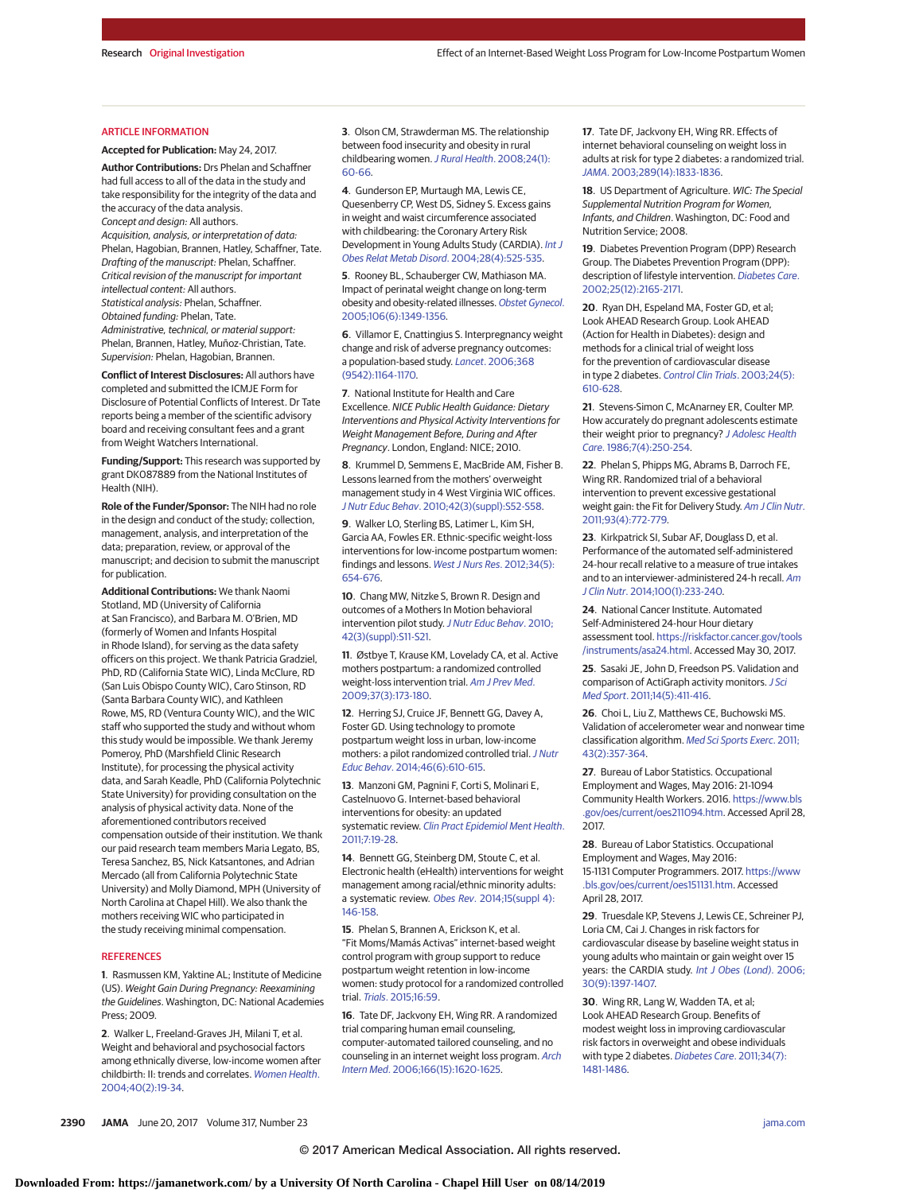#### ARTICLE INFORMATION

**Accepted for Publication:** May 24, 2017.

**Author Contributions:** Drs Phelan and Schaffner had full access to all of the data in the study and take responsibility for the integrity of the data and the accuracy of the data analysis. Concept and design: All authors. Acquisition, analysis, or interpretation of data: Phelan, Hagobian, Brannen, Hatley, Schaffner, Tate. Drafting of the manuscript: Phelan, Schaffner. Critical revision of the manuscript for important intellectual content: All authors. Statistical analysis: Phelan, Schaffner. Obtained funding: Phelan, Tate. Administrative, technical, or material support: Phelan, Brannen, Hatley, Muñoz-Christian, Tate. Supervision: Phelan, Hagobian, Brannen.

**Conflict of Interest Disclosures:** All authors have completed and submitted the ICMJE Form for Disclosure of Potential Conflicts of Interest. Dr Tate reports being a member of the scientific advisory board and receiving consultant fees and a grant from Weight Watchers International.

**Funding/Support:** This research was supported by grant DK087889 from the National Institutes of Health (NIH).

**Role of the Funder/Sponsor:** The NIH had no role in the design and conduct of the study; collection, management, analysis, and interpretation of the data; preparation, review, or approval of the manuscript; and decision to submit the manuscript for publication.

**Additional Contributions:** We thank Naomi Stotland, MD (University of California at San Francisco), and Barbara M. O'Brien, MD (formerly of Women and Infants Hospital in Rhode Island), for serving as the data safety officers on this project. We thank Patricia Gradziel, PhD, RD (California State WIC), Linda McClure, RD (San Luis Obispo County WIC), Caro Stinson, RD (Santa Barbara County WIC), and Kathleen Rowe, MS, RD (Ventura County WIC), and the WIC staff who supported the study and without whom this study would be impossible. We thank Jeremy Pomeroy, PhD (Marshfield Clinic Research Institute), for processing the physical activity data, and Sarah Keadle, PhD (California Polytechnic State University) for providing consultation on the analysis of physical activity data. None of the aforementioned contributors received compensation outside of their institution. We thank our paid research team members Maria Legato, BS, Teresa Sanchez, BS, Nick Katsantones, and Adrian Mercado (all from California Polytechnic State University) and Molly Diamond, MPH (University of North Carolina at Chapel Hill). We also thank the mothers receiving WIC who participated in the study receiving minimal compensation.

#### **REFERENCES**

**1**. Rasmussen KM, Yaktine AL; Institute of Medicine (US). Weight Gain During Pregnancy: Reexamining the Guidelines. Washington, DC: National Academies Press; 2009.

**2**. Walker L, Freeland-Graves JH, Milani T, et al. Weight and behavioral and psychosocial factors among ethnically diverse, low-income women after childbirth: II: trends and correlates. [Women Health](https://www.ncbi.nlm.nih.gov/pubmed/15778136). [2004;40\(2\):19-34.](https://www.ncbi.nlm.nih.gov/pubmed/15778136)

**3**. Olson CM, Strawderman MS. The relationship between food insecurity and obesity in rural childbearing women. [J Rural Health](https://www.ncbi.nlm.nih.gov/pubmed/18257872). 2008;24(1): [60-66.](https://www.ncbi.nlm.nih.gov/pubmed/18257872)

**4**. Gunderson EP, Murtaugh MA, Lewis CE, Quesenberry CP, West DS, Sidney S. Excess gains in weight and waist circumference associated with childbearing: the Coronary Artery Risk Development in Young Adults Study (CARDIA). [Int J](https://www.ncbi.nlm.nih.gov/pubmed/14770188) [Obes Relat Metab Disord](https://www.ncbi.nlm.nih.gov/pubmed/14770188). 2004;28(4):525-535.

**5**. Rooney BL, Schauberger CW, Mathiason MA. Impact of perinatal weight change on long-term obesity and obesity-related illnesses. [Obstet Gynecol](https://www.ncbi.nlm.nih.gov/pubmed/16319262). [2005;106\(6\):1349-1356.](https://www.ncbi.nlm.nih.gov/pubmed/16319262)

**6**. Villamor E, Cnattingius S. Interpregnancy weight change and risk of adverse pregnancy outcomes: a population-based study. Lancet[. 2006;368](https://www.ncbi.nlm.nih.gov/pubmed/17011943) [\(9542\):1164-1170.](https://www.ncbi.nlm.nih.gov/pubmed/17011943)

**7**. National Institute for Health and Care Excellence. NICE Public Health Guidance: Dietary Interventions and Physical Activity Interventions for Weight Management Before, During and After Pregnancy. London, England: NICE; 2010.

**8**. Krummel D, Semmens E, MacBride AM, Fisher B. Lessons learned from the mothers' overweight management study in 4 West Virginia WIC offices. J Nutr Educ Behav[. 2010;42\(3\)\(suppl\):S52-S58.](https://www.ncbi.nlm.nih.gov/pubmed/20399410)

**9**. Walker LO, Sterling BS, Latimer L, Kim SH, Garcia AA, Fowles ER. Ethnic-specific weight-loss interventions for low-income postpartum women: findings and lessons. [West J Nurs Res](https://www.ncbi.nlm.nih.gov/pubmed/21483027). 2012;34(5): [654-676.](https://www.ncbi.nlm.nih.gov/pubmed/21483027)

**10**. Chang MW, Nitzke S, Brown R. Design and outcomes of a Mothers In Motion behavioral intervention pilot study.[J Nutr Educ Behav](https://www.ncbi.nlm.nih.gov/pubmed/20399404). 2010; [42\(3\)\(suppl\):S11-S21.](https://www.ncbi.nlm.nih.gov/pubmed/20399404)

**11**. Østbye T, Krause KM, Lovelady CA, et al. Active mothers postpartum: a randomized controlled weight-loss intervention trial. [Am J Prev Med](https://www.ncbi.nlm.nih.gov/pubmed/19595557). [2009;37\(3\):173-180.](https://www.ncbi.nlm.nih.gov/pubmed/19595557)

**12**. Herring SJ, Cruice JF, Bennett GG, Davey A, Foster GD. Using technology to promote postpartum weight loss in urban, low-income mothers: a pilot randomized controlled trial. [J Nutr](https://www.ncbi.nlm.nih.gov/pubmed/25069621) Educ Behav[. 2014;46\(6\):610-615.](https://www.ncbi.nlm.nih.gov/pubmed/25069621)

**13**. Manzoni GM, Pagnini F, Corti S, Molinari E, Castelnuovo G. Internet-based behavioral interventions for obesity: an updated systematic review. [Clin Pract Epidemiol Ment Health](https://www.ncbi.nlm.nih.gov/pubmed/21552423). [2011;7:19-28.](https://www.ncbi.nlm.nih.gov/pubmed/21552423)

**14**. Bennett GG, Steinberg DM, Stoute C, et al. Electronic health (eHealth) interventions for weight management among racial/ethnic minority adults: a systematic review. Obes Rev[. 2014;15\(suppl 4\):](https://www.ncbi.nlm.nih.gov/pubmed/25196411) [146-158.](https://www.ncbi.nlm.nih.gov/pubmed/25196411)

**15**. Phelan S, Brannen A, Erickson K, et al. "Fit Moms/Mamás Activas" internet-based weight control program with group support to reduce postpartum weight retention in low-income women: study protocol for a randomized controlled trial. Trials[. 2015;16:59.](https://www.ncbi.nlm.nih.gov/pubmed/25887964)

**16**. Tate DF, Jackvony EH, Wing RR. A randomized trial comparing human email counseling, computer-automated tailored counseling, and no counseling in an internet weight loss program. [Arch](https://www.ncbi.nlm.nih.gov/pubmed/16908795) Intern Med[. 2006;166\(15\):1620-1625.](https://www.ncbi.nlm.nih.gov/pubmed/16908795)

**17**. Tate DF, Jackvony EH, Wing RR. Effects of internet behavioral counseling on weight loss in adults at risk for type 2 diabetes: a randomized trial. JAMA[. 2003;289\(14\):1833-1836.](https://www.ncbi.nlm.nih.gov/pubmed/12684363)

**18**. US Department of Agriculture. WIC: The Special Supplemental Nutrition Program for Women, Infants, and Children. Washington, DC: Food and Nutrition Service; 2008.

**19**. Diabetes Prevention Program (DPP) Research Group. The Diabetes Prevention Program (DPP): description of lifestyle intervention. [Diabetes Care](https://www.ncbi.nlm.nih.gov/pubmed/12453955). [2002;25\(12\):2165-2171.](https://www.ncbi.nlm.nih.gov/pubmed/12453955)

**20**. Ryan DH, Espeland MA, Foster GD, et al; Look AHEAD Research Group. Look AHEAD (Action for Health in Diabetes): design and methods for a clinical trial of weight loss for the prevention of cardiovascular disease in type 2 diabetes. [Control Clin Trials](https://www.ncbi.nlm.nih.gov/pubmed/14500058). 2003;24(5): [610-628.](https://www.ncbi.nlm.nih.gov/pubmed/14500058)

**21**. Stevens-Simon C, McAnarney ER, Coulter MP. How accurately do pregnant adolescents estimate their weight prior to pregnancy? [J Adolesc Health](https://www.ncbi.nlm.nih.gov/pubmed/3522511) Care[. 1986;7\(4\):250-254.](https://www.ncbi.nlm.nih.gov/pubmed/3522511)

**22**. Phelan S, Phipps MG, Abrams B, Darroch FE, Wing RR. Randomized trial of a behavioral intervention to prevent excessive gestational weight gain: the Fit for Delivery Study. [Am J Clin Nutr](https://www.ncbi.nlm.nih.gov/pubmed/21310836). [2011;93\(4\):772-779.](https://www.ncbi.nlm.nih.gov/pubmed/21310836)

**23**. Kirkpatrick SI, Subar AF, Douglass D, et al. Performance of the automated self-administered 24-hour recall relative to a measure of true intakes and to an interviewer-administered 24-h recall. [Am](https://www.ncbi.nlm.nih.gov/pubmed/24787491) J Clin Nutr[. 2014;100\(1\):233-240.](https://www.ncbi.nlm.nih.gov/pubmed/24787491)

24. National Cancer Institute. Automated Self-Administered 24-hour Hour dietary assessment tool. [https://riskfactor.cancer.gov/tools](https://riskfactor.cancer.gov/tools/instruments/asa24.html) [/instruments/asa24.html.](https://riskfactor.cancer.gov/tools/instruments/asa24.html) Accessed May 30, 2017.

**25**. Sasaki JE, John D, Freedson PS. Validation and comparison of ActiGraph activity monitors. [J Sci](https://www.ncbi.nlm.nih.gov/pubmed/21616714) Med Sport[. 2011;14\(5\):411-416.](https://www.ncbi.nlm.nih.gov/pubmed/21616714)

**26**. Choi L, Liu Z, Matthews CE, Buchowski MS. Validation of accelerometer wear and nonwear time classification algorithm. [Med Sci Sports Exerc](https://www.ncbi.nlm.nih.gov/pubmed/20581716). 2011; [43\(2\):357-364.](https://www.ncbi.nlm.nih.gov/pubmed/20581716)

**27**. Bureau of Labor Statistics. Occupational Employment and Wages, May 2016: 21-1094 Community Health Workers. 2016. [https://www.bls](https://www.bls.gov/oes/current/oes211094.htm) [.gov/oes/current/oes211094.htm.](https://www.bls.gov/oes/current/oes211094.htm) Accessed April 28, 2017.

**28**. Bureau of Labor Statistics. Occupational Employment and Wages, May 2016: 15-1131 Computer Programmers. 2017. [https://www](https://www.bls.gov/oes/current/oes151131.htm) [.bls.gov/oes/current/oes151131.htm.](https://www.bls.gov/oes/current/oes151131.htm) Accessed April 28, 2017.

**29**. Truesdale KP, Stevens J, Lewis CE, Schreiner PJ, Loria CM, Cai J. Changes in risk factors for cardiovascular disease by baseline weight status in young adults who maintain or gain weight over 15 years: the CARDIA study. [Int J Obes \(Lond\)](https://www.ncbi.nlm.nih.gov/pubmed/16534519). 2006; [30\(9\):1397-1407.](https://www.ncbi.nlm.nih.gov/pubmed/16534519)

**30**. Wing RR, Lang W, Wadden TA, et al; Look AHEAD Research Group. Benefits of modest weight loss in improving cardiovascular risk factors in overweight and obese individuals with type 2 diabetes. [Diabetes Care](https://www.ncbi.nlm.nih.gov/pubmed/21593294). 2011;34(7): [1481-1486.](https://www.ncbi.nlm.nih.gov/pubmed/21593294)